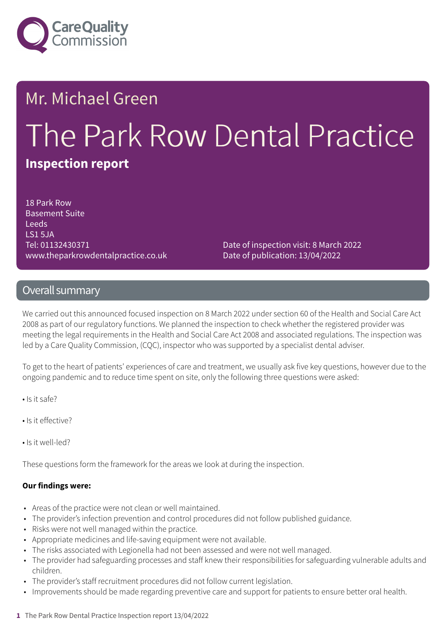

# Mr. Michael Green The Park Row Dental Practice **Inspection report**

18 Park Row Basement Suite Leeds LS1 5JA Tel: 01132430371 www.theparkrowdentalpractice.co.uk

Date of inspection visit: 8 March 2022 Date of publication: 13/04/2022

#### Overall summary

We carried out this announced focused inspection on 8 March 2022 under section 60 of the Health and Social Care Act 2008 as part of our regulatory functions. We planned the inspection to check whether the registered provider was meeting the legal requirements in the Health and Social Care Act 2008 and associated regulations. The inspection was led by a Care Quality Commission, (CQC), inspector who was supported by a specialist dental adviser.

To get to the heart of patients' experiences of care and treatment, we usually ask five key questions, however due to the ongoing pandemic and to reduce time spent on site, only the following three questions were asked:

- Is it safe?
- Is it effective?
- Is it well-led?

These questions form the framework for the areas we look at during the inspection.

#### **Our findings were:**

- Areas of the practice were not clean or well maintained.
- The provider's infection prevention and control procedures did not follow published guidance.
- Risks were not well managed within the practice.
- Appropriate medicines and life-saving equipment were not available.
- The risks associated with Legionella had not been assessed and were not well managed.
- The provider had safeguarding processes and staff knew their responsibilities for safeguarding vulnerable adults and children.
- The provider's staff recruitment procedures did not follow current legislation.
- Improvements should be made regarding preventive care and support for patients to ensure better oral health.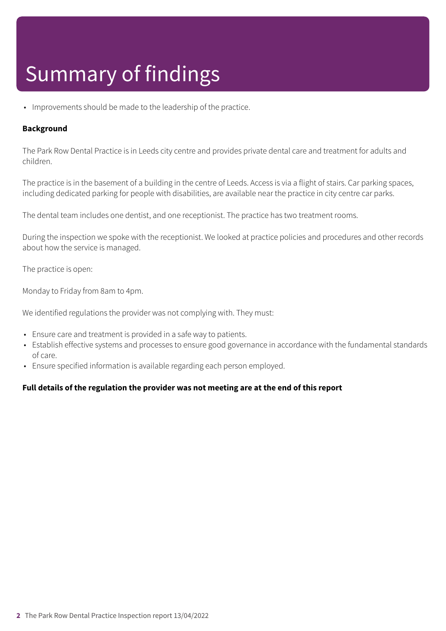## Summary of findings

• Improvements should be made to the leadership of the practice.

#### **Background**

The Park Row Dental Practice is in Leeds city centre and provides private dental care and treatment for adults and children.

The practice is in the basement of a building in the centre of Leeds. Access is via a flight of stairs. Car parking spaces, including dedicated parking for people with disabilities, are available near the practice in city centre car parks.

The dental team includes one dentist, and one receptionist. The practice has two treatment rooms.

During the inspection we spoke with the receptionist. We looked at practice policies and procedures and other records about how the service is managed.

The practice is open:

Monday to Friday from 8am to 4pm.

We identified regulations the provider was not complying with. They must:

- Ensure care and treatment is provided in a safe way to patients.
- Establish effective systems and processes to ensure good governance in accordance with the fundamental standards of care.
- Ensure specified information is available regarding each person employed.

#### **Full details of the regulation the provider was not meeting are at the end of this report**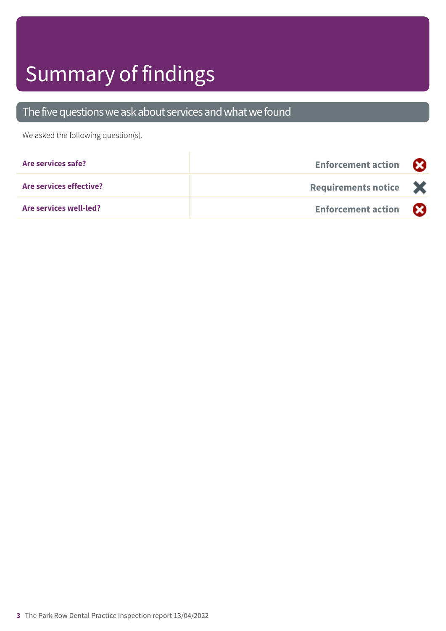# Summary of findings

### The five questions we ask about services and what we found

We asked the following question(s).

| Are services safe?      | <b>Enforcement action</b>             |  |
|-------------------------|---------------------------------------|--|
| Are services effective? | Requirements notice $\mathbf{\times}$ |  |
| Are services well-led?  | <b>Enforcement action</b>             |  |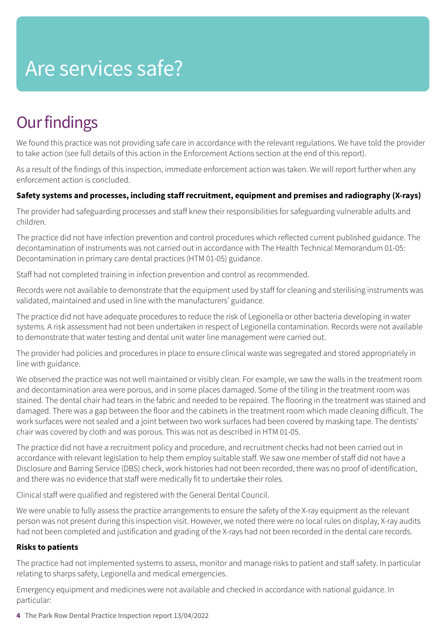## Are services safe?

### **Our findings**

We found this practice was not providing safe care in accordance with the relevant regulations. We have told the provider to take action (see full details of this action in the Enforcement Actions section at the end of this report).

As a result of the findings of this inspection, immediate enforcement action was taken. We will report further when any enforcement action is concluded.

#### **Safety systems and processes, including staff recruitment, equipment and premises and radiography (X-rays)**

The provider had safeguarding processes and staff knew their responsibilities for safeguarding vulnerable adults and children.

The practice did not have infection prevention and control procedures which reflected current published guidance. The decontamination of instruments was not carried out in accordance with The Health Technical Memorandum 01-05: Decontamination in primary care dental practices (HTM 01-05) guidance.

Staff had not completed training in infection prevention and control as recommended.

Records were not available to demonstrate that the equipment used by staff for cleaning and sterilising instruments was validated, maintained and used in line with the manufacturers' guidance.

The practice did not have adequate procedures to reduce the risk of Legionella or other bacteria developing in water systems. A risk assessment had not been undertaken in respect of Legionella contamination. Records were not available to demonstrate that water testing and dental unit water line management were carried out.

The provider had policies and procedures in place to ensure clinical waste was segregated and stored appropriately in line with guidance.

We observed the practice was not well maintained or visibly clean. For example, we saw the walls in the treatment room and decontamination area were porous, and in some places damaged. Some of the tiling in the treatment room was stained. The dental chair had tears in the fabric and needed to be repaired. The flooring in the treatment was stained and damaged. There was a gap between the floor and the cabinets in the treatment room which made cleaning difficult. The work surfaces were not sealed and a joint between two work surfaces had been covered by masking tape. The dentists' chair was covered by cloth and was porous. This was not as described in HTM 01-05.

The practice did not have a recruitment policy and procedure, and recruitment checks had not been carried out in accordance with relevant legislation to help them employ suitable staff. We saw one member of staff did not have a Disclosure and Barring Service (DBS) check, work histories had not been recorded, there was no proof of identification, and there was no evidence that staff were medically fit to undertake their roles.

Clinical staff were qualified and registered with the General Dental Council.

We were unable to fully assess the practice arrangements to ensure the safety of the X-ray equipment as the relevant person was not present during this inspection visit. However, we noted there were no local rules on display, X-ray audits had not been completed and justification and grading of the X-rays had not been recorded in the dental care records.

#### **Risks to patients**

The practice had not implemented systems to assess, monitor and manage risks to patient and staff safety. In particular relating to sharps safety, Legionella and medical emergencies.

Emergency equipment and medicines were not available and checked in accordance with national guidance. In particular:

**4** The Park Row Dental Practice Inspection report 13/04/2022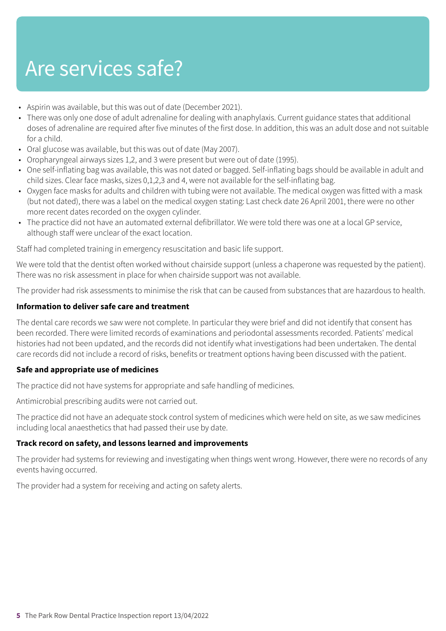## Are services safe?

- Aspirin was available, but this was out of date (December 2021).
- There was only one dose of adult adrenaline for dealing with anaphylaxis. Current guidance states that additional doses of adrenaline are required after five minutes of the first dose. In addition, this was an adult dose and not suitable for a child.
- Oral glucose was available, but this was out of date (May 2007).
- Oropharyngeal airways sizes 1,2, and 3 were present but were out of date (1995).
- One self-inflating bag was available, this was not dated or bagged. Self-inflating bags should be available in adult and child sizes. Clear face masks, sizes 0,1,2,3 and 4, were not available for the self-inflating bag.
- Oxygen face masks for adults and children with tubing were not available. The medical oxygen was fitted with a mask (but not dated), there was a label on the medical oxygen stating: Last check date 26 April 2001, there were no other more recent dates recorded on the oxygen cylinder.
- The practice did not have an automated external defibrillator. We were told there was one at a local GP service, although staff were unclear of the exact location.

Staff had completed training in emergency resuscitation and basic life support.

We were told that the dentist often worked without chairside support (unless a chaperone was requested by the patient). There was no risk assessment in place for when chairside support was not available.

The provider had risk assessments to minimise the risk that can be caused from substances that are hazardous to health.

#### **Information to deliver safe care and treatment**

The dental care records we saw were not complete. In particular they were brief and did not identify that consent has been recorded. There were limited records of examinations and periodontal assessments recorded. Patients' medical histories had not been updated, and the records did not identify what investigations had been undertaken. The dental care records did not include a record of risks, benefits or treatment options having been discussed with the patient.

#### **Safe and appropriate use of medicines**

The practice did not have systems for appropriate and safe handling of medicines.

Antimicrobial prescribing audits were not carried out.

The practice did not have an adequate stock control system of medicines which were held on site, as we saw medicines including local anaesthetics that had passed their use by date.

#### **Track record on safety, and lessons learned and improvements**

The provider had systems for reviewing and investigating when things went wrong. However, there were no records of any events having occurred.

The provider had a system for receiving and acting on safety alerts.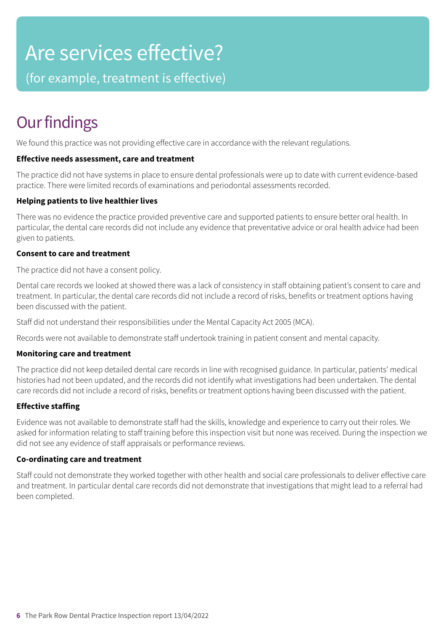## Are services effective?

(for example, treatment is effective)

### **Our findings**

We found this practice was not providing effective care in accordance with the relevant regulations.

#### **Effective needs assessment, care and treatment**

The practice did not have systems in place to ensure dental professionals were up to date with current evidence-based practice. There were limited records of examinations and periodontal assessments recorded.

#### **Helping patients to live healthier lives**

There was no evidence the practice provided preventive care and supported patients to ensure better oral health. In particular, the dental care records did not include any evidence that preventative advice or oral health advice had been given to patients.

#### **Consent to care and treatment**

The practice did not have a consent policy.

Dental care records we looked at showed there was a lack of consistency in staff obtaining patient's consent to care and treatment. In particular, the dental care records did not include a record of risks, benefits or treatment options having been discussed with the patient.

Staff did not understand their responsibilities under the Mental Capacity Act 2005 (MCA).

Records were not available to demonstrate staff undertook training in patient consent and mental capacity.

#### **Monitoring care and treatment**

The practice did not keep detailed dental care records in line with recognised guidance. In particular, patients' medical histories had not been updated, and the records did not identify what investigations had been undertaken. The dental care records did not include a record of risks, benefits or treatment options having been discussed with the patient.

#### **Effective staffing**

Evidence was not available to demonstrate staff had the skills, knowledge and experience to carry out their roles. We asked for information relating to staff training before this inspection visit but none was received. During the inspection we did not see any evidence of staff appraisals or performance reviews.

#### **Co-ordinating care and treatment**

Staff could not demonstrate they worked together with other health and social care professionals to deliver effective care and treatment. In particular dental care records did not demonstrate that investigations that might lead to a referral had been completed.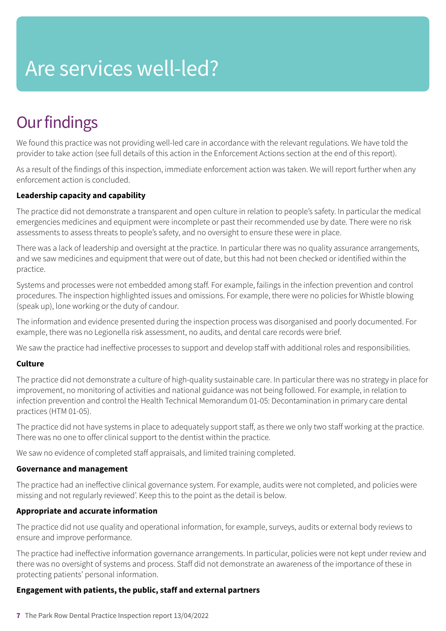# Are services well-led?

### **Our findings**

We found this practice was not providing well-led care in accordance with the relevant regulations. We have told the provider to take action (see full details of this action in the Enforcement Actions section at the end of this report).

As a result of the findings of this inspection, immediate enforcement action was taken. We will report further when any enforcement action is concluded.

#### **Leadership capacity and capability**

The practice did not demonstrate a transparent and open culture in relation to people's safety. In particular the medical emergencies medicines and equipment were incomplete or past their recommended use by date. There were no risk assessments to assess threats to people's safety, and no oversight to ensure these were in place.

There was a lack of leadership and oversight at the practice. In particular there was no quality assurance arrangements, and we saw medicines and equipment that were out of date, but this had not been checked or identified within the practice.

Systems and processes were not embedded among staff. For example, failings in the infection prevention and control procedures. The inspection highlighted issues and omissions. For example, there were no policies for Whistle blowing (speak up), lone working or the duty of candour.

The information and evidence presented during the inspection process was disorganised and poorly documented. For example, there was no Legionella risk assessment, no audits, and dental care records were brief.

We saw the practice had ineffective processes to support and develop staff with additional roles and responsibilities.

#### **Culture**

The practice did not demonstrate a culture of high-quality sustainable care. In particular there was no strategy in place for improvement, no monitoring of activities and national guidance was not being followed. For example, in relation to infection prevention and control the Health Technical Memorandum 01-05: Decontamination in primary care dental practices (HTM 01-05).

The practice did not have systems in place to adequately support staff, as there we only two staff working at the practice. There was no one to offer clinical support to the dentist within the practice.

We saw no evidence of completed staff appraisals, and limited training completed.

#### **Governance and management**

The practice had an ineffective clinical governance system. For example, audits were not completed, and policies were missing and not regularly reviewed'. Keep this to the point as the detail is below.

#### **Appropriate and accurate information**

The practice did not use quality and operational information, for example, surveys, audits or external body reviews to ensure and improve performance.

The practice had ineffective information governance arrangements. In particular, policies were not kept under review and there was no oversight of systems and process. Staff did not demonstrate an awareness of the importance of these in protecting patients' personal information.

#### **Engagement with patients, the public, staff and external partners**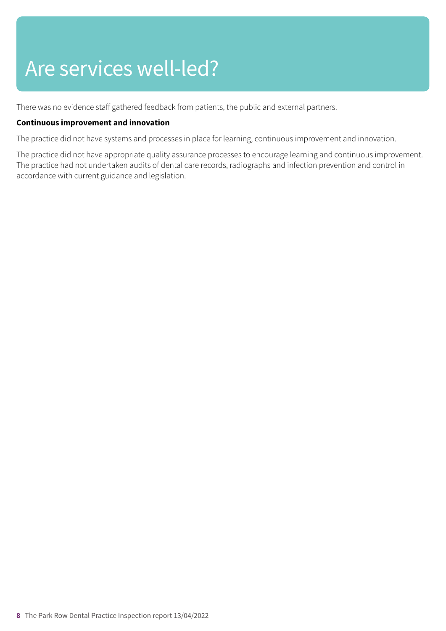## Are services well-led?

There was no evidence staff gathered feedback from patients, the public and external partners.

#### **Continuous improvement and innovation**

The practice did not have systems and processes in place for learning, continuous improvement and innovation.

The practice did not have appropriate quality assurance processes to encourage learning and continuous improvement. The practice had not undertaken audits of dental care records, radiographs and infection prevention and control in accordance with current guidance and legislation.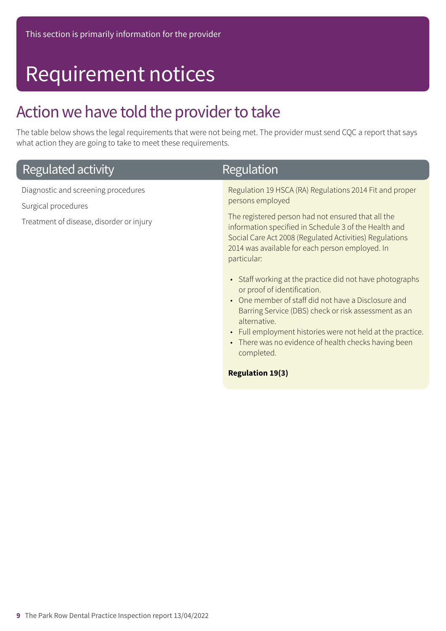### Requirement notices

### Action we have told the provider to take

The table below shows the legal requirements that were not being met. The provider must send CQC a report that says what action they are going to take to meet these requirements.

| Regulated activity                                                                                     | Regulation                                                                                                                                                                                                                                                                                                                                                                                                                                                                                                                                                                                                                                                                                                                             |
|--------------------------------------------------------------------------------------------------------|----------------------------------------------------------------------------------------------------------------------------------------------------------------------------------------------------------------------------------------------------------------------------------------------------------------------------------------------------------------------------------------------------------------------------------------------------------------------------------------------------------------------------------------------------------------------------------------------------------------------------------------------------------------------------------------------------------------------------------------|
| Diagnostic and screening procedures<br>Surgical procedures<br>Treatment of disease, disorder or injury | Regulation 19 HSCA (RA) Regulations 2014 Fit and proper<br>persons employed<br>The registered person had not ensured that all the<br>information specified in Schedule 3 of the Health and<br>Social Care Act 2008 (Regulated Activities) Regulations<br>2014 was available for each person employed. In<br>particular:<br>• Staff working at the practice did not have photographs<br>or proof of identification.<br>One member of staff did not have a Disclosure and<br>$\bullet$<br>Barring Service (DBS) check or risk assessment as an<br>alternative.<br>• Full employment histories were not held at the practice.<br>There was no evidence of health checks having been<br>$\bullet$<br>completed.<br><b>Regulation 19(3)</b> |
|                                                                                                        |                                                                                                                                                                                                                                                                                                                                                                                                                                                                                                                                                                                                                                                                                                                                        |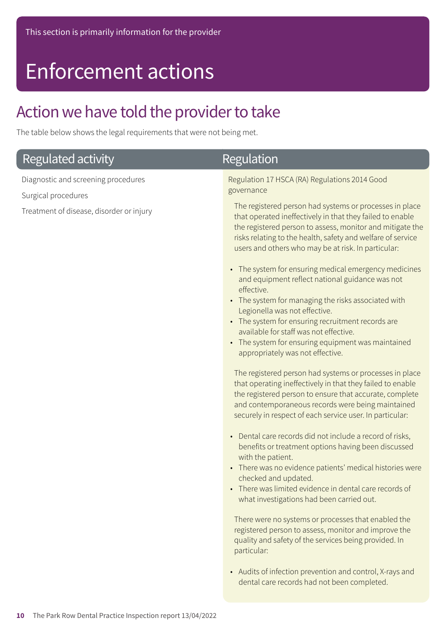### Enforcement actions

### Action we have told the provider to take

The table below shows the legal requirements that were not being met.

| Regulated activity                                                                                     | <b>Regulation</b>                                                                                                                                                                                                                                                                                                                                                                                                                                                                                                                                                                                                                                                                                                                                                                                                                                                                                                                                                                                                                                                                                                                                                                                                                                                                                                                                                                                                                                                                                                                                                                                                                                                                                                           |
|--------------------------------------------------------------------------------------------------------|-----------------------------------------------------------------------------------------------------------------------------------------------------------------------------------------------------------------------------------------------------------------------------------------------------------------------------------------------------------------------------------------------------------------------------------------------------------------------------------------------------------------------------------------------------------------------------------------------------------------------------------------------------------------------------------------------------------------------------------------------------------------------------------------------------------------------------------------------------------------------------------------------------------------------------------------------------------------------------------------------------------------------------------------------------------------------------------------------------------------------------------------------------------------------------------------------------------------------------------------------------------------------------------------------------------------------------------------------------------------------------------------------------------------------------------------------------------------------------------------------------------------------------------------------------------------------------------------------------------------------------------------------------------------------------------------------------------------------------|
| Diagnostic and screening procedures<br>Surgical procedures<br>Treatment of disease, disorder or injury | Regulation 17 HSCA (RA) Regulations 2014 Good<br>governance<br>The registered person had systems or processes in place<br>that operated ineffectively in that they failed to enable<br>the registered person to assess, monitor and mitigate the<br>risks relating to the health, safety and welfare of service<br>users and others who may be at risk. In particular:<br>• The system for ensuring medical emergency medicines<br>and equipment reflect national guidance was not<br>effective.<br>• The system for managing the risks associated with<br>Legionella was not effective.<br>• The system for ensuring recruitment records are<br>available for staff was not effective.<br>• The system for ensuring equipment was maintained<br>appropriately was not effective.<br>The registered person had systems or processes in place<br>that operating ineffectively in that they failed to enable<br>the registered person to ensure that accurate, complete<br>and contemporaneous records were being maintained<br>securely in respect of each service user. In particular:<br>• Dental care records did not include a record of risks,<br>benefits or treatment options having been discussed<br>with the patient.<br>• There was no evidence patients' medical histories were<br>checked and updated.<br>• There was limited evidence in dental care records of<br>what investigations had been carried out.<br>There were no systems or processes that enabled the<br>registered person to assess, monitor and improve the<br>quality and safety of the services being provided. In<br>particular:<br>• Audits of infection prevention and control, X-rays and<br>dental care records had not been completed. |
|                                                                                                        |                                                                                                                                                                                                                                                                                                                                                                                                                                                                                                                                                                                                                                                                                                                                                                                                                                                                                                                                                                                                                                                                                                                                                                                                                                                                                                                                                                                                                                                                                                                                                                                                                                                                                                                             |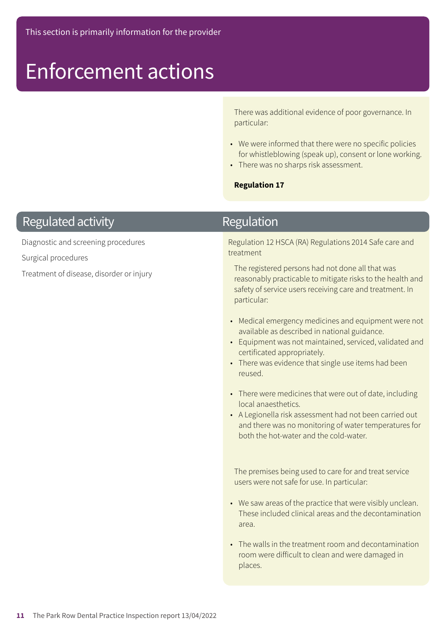### Enforcement actions

There was additional evidence of poor governance. In particular:

- We were informed that there were no specific policies for whistleblowing (speak up), consent or lone working.
- There was no sharps risk assessment.

#### **Regulation 17**

### **Regulated activity**

Diagnostic and screening procedures

Surgical procedures

Treatment of disease, disorder or injury

### **Regulation**

Regulation 12 HSCA (RA) Regulations 2014 Safe care and treatment

The registered persons had not done all that was reasonably practicable to mitigate risks to the health and safety of service users receiving care and treatment. In particular:

- Medical emergency medicines and equipment were not available as described in national guidance.
- Equipment was not maintained, serviced, validated and certificated appropriately.
- There was evidence that single use items had been reused.
- There were medicines that were out of date, including local anaesthetics.
- A Legionella risk assessment had not been carried out and there was no monitoring of water temperatures for both the hot-water and the cold-water.

The premises being used to care for and treat service users were not safe for use. In particular:

- We saw areas of the practice that were visibly unclean. These included clinical areas and the decontamination area.
- The walls in the treatment room and decontamination room were difficult to clean and were damaged in places.